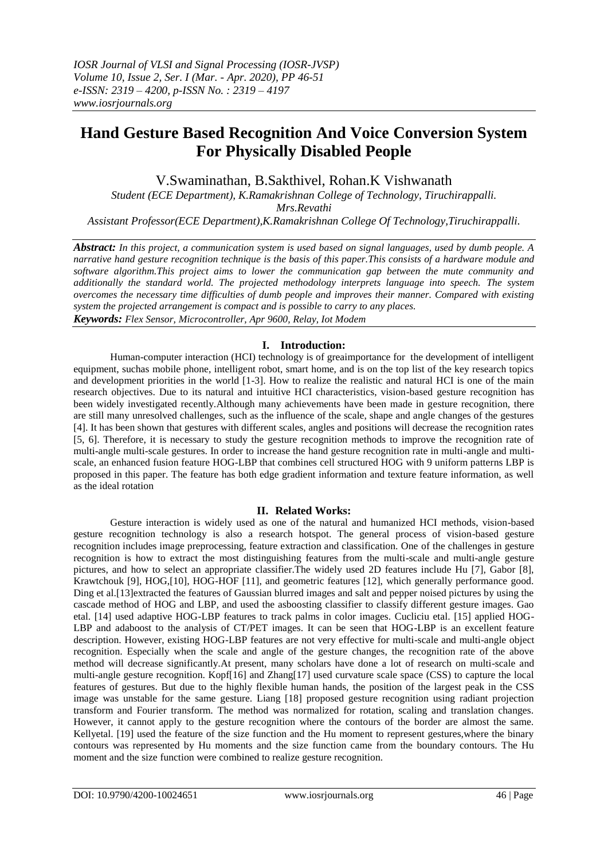# **Hand Gesture Based Recognition And Voice Conversion System For Physically Disabled People**

V.Swaminathan, B.Sakthivel, Rohan.K Vishwanath

*Student (ECE Department), K.Ramakrishnan College of Technology, Tiruchirappalli.*

*Mrs.Revathi*

*Assistant Professor(ECE Department),K.Ramakrishnan College Of Technology,Tiruchirappalli.*

*Abstract: In this project, a communication system is used based on signal languages, used by dumb people. A narrative hand gesture recognition technique is the basis of this paper.This consists of a hardware module and software algorithm.This project aims to lower the communication gap between the mute community and additionally the standard world. The projected methodology interprets language into speech. The system overcomes the necessary time difficulties of dumb people and improves their manner. Compared with existing system the projected arrangement is compact and is possible to carry to any places. Keywords: Flex Sensor, Microcontroller, Apr 9600, Relay, Iot Modem*

# **I. Introduction:**

Human-computer interaction (HCI) technology is of greaimportance for the development of intelligent equipment, suchas mobile phone, intelligent robot, smart home, and is on the top list of the key research topics and development priorities in the world [1-3]. How to realize the realistic and natural HCI is one of the main research objectives. Due to its natural and intuitive HCI characteristics, vision-based gesture recognition has been widely investigated recently.Although many achievements have been made in gesture recognition, there are still many unresolved challenges, such as the influence of the scale, shape and angle changes of the gestures [4]. It has been shown that gestures with different scales, angles and positions will decrease the recognition rates [5, 6]. Therefore, it is necessary to study the gesture recognition methods to improve the recognition rate of multi-angle multi-scale gestures. In order to increase the hand gesture recognition rate in multi-angle and multiscale, an enhanced fusion feature HOG-LBP that combines cell structured HOG with 9 uniform patterns LBP is proposed in this paper. The feature has both edge gradient information and texture feature information, as well as the ideal rotation

# **II. Related Works:**

Gesture interaction is widely used as one of the natural and humanized HCI methods, vision-based gesture recognition technology is also a research hotspot. The general process of vision-based gesture recognition includes image preprocessing, feature extraction and classification. One of the challenges in gesture recognition is how to extract the most distinguishing features from the multi-scale and multi-angle gesture pictures, and how to select an appropriate classifier.The widely used 2D features include Hu [7], Gabor [8], Krawtchouk [9], HOG,[10], HOG-HOF [11], and geometric features [12], which generally performance good. Ding et al.[13]extracted the features of Gaussian blurred images and salt and pepper noised pictures by using the cascade method of HOG and LBP, and used the asboosting classifier to classify different gesture images. Gao etal. [14] used adaptive HOG-LBP features to track palms in color images. Cucliciu etal. [15] applied HOG-LBP and adaboost to the analysis of CT/PET images. It can be seen that HOG-LBP is an excellent feature description. However, existing HOG-LBP features are not very effective for multi-scale and multi-angle object recognition. Especially when the scale and angle of the gesture changes, the recognition rate of the above method will decrease significantly.At present, many scholars have done a lot of research on multi-scale and multi-angle gesture recognition. Kopf[16] and Zhang[17] used curvature scale space (CSS) to capture the local features of gestures. But due to the highly flexible human hands, the position of the largest peak in the CSS image was unstable for the same gesture. Liang [18] proposed gesture recognition using radiant projection transform and Fourier transform. The method was normalized for rotation, scaling and translation changes. However, it cannot apply to the gesture recognition where the contours of the border are almost the same. Kellyetal. [19] used the feature of the size function and the Hu moment to represent gestures,where the binary contours was represented by Hu moments and the size function came from the boundary contours. The Hu moment and the size function were combined to realize gesture recognition.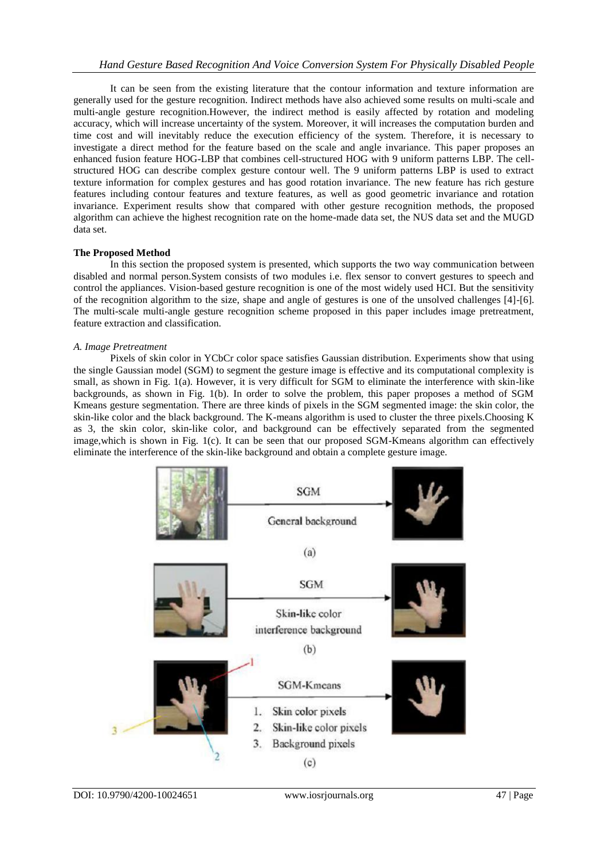It can be seen from the existing literature that the contour information and texture information are generally used for the gesture recognition. Indirect methods have also achieved some results on multi-scale and multi-angle gesture recognition.However, the indirect method is easily affected by rotation and modeling accuracy, which will increase uncertainty of the system. Moreover, it will increases the computation burden and time cost and will inevitably reduce the execution efficiency of the system. Therefore, it is necessary to investigate a direct method for the feature based on the scale and angle invariance. This paper proposes an enhanced fusion feature HOG-LBP that combines cell-structured HOG with 9 uniform patterns LBP. The cellstructured HOG can describe complex gesture contour well. The 9 uniform patterns LBP is used to extract texture information for complex gestures and has good rotation invariance. The new feature has rich gesture features including contour features and texture features, as well as good geometric invariance and rotation invariance. Experiment results show that compared with other gesture recognition methods, the proposed algorithm can achieve the highest recognition rate on the home-made data set, the NUS data set and the MUGD data set.

## **The Proposed Method**

In this section the proposed system is presented, which supports the two way communication between disabled and normal person.System consists of two modules i.e. flex sensor to convert gestures to speech and control the appliances. Vision-based gesture recognition is one of the most widely used HCI. But the sensitivity of the recognition algorithm to the size, shape and angle of gestures is one of the unsolved challenges [4]-[6]. The multi-scale multi-angle gesture recognition scheme proposed in this paper includes image pretreatment, feature extraction and classification.

## *A. Image Pretreatment*

Pixels of skin color in YCbCr color space satisfies Gaussian distribution. Experiments show that using the single Gaussian model (SGM) to segment the gesture image is effective and its computational complexity is small, as shown in Fig. 1(a). However, it is very difficult for SGM to eliminate the interference with skin-like backgrounds, as shown in Fig. 1(b). In order to solve the problem, this paper proposes a method of SGM Kmeans gesture segmentation. There are three kinds of pixels in the SGM segmented image: the skin color, the skin-like color and the black background. The K-means algorithm is used to cluster the three pixels.Choosing K as 3, the skin color, skin-like color, and background can be effectively separated from the segmented image,which is shown in Fig. 1(c). It can be seen that our proposed SGM-Kmeans algorithm can effectively eliminate the interference of the skin-like background and obtain a complete gesture image.

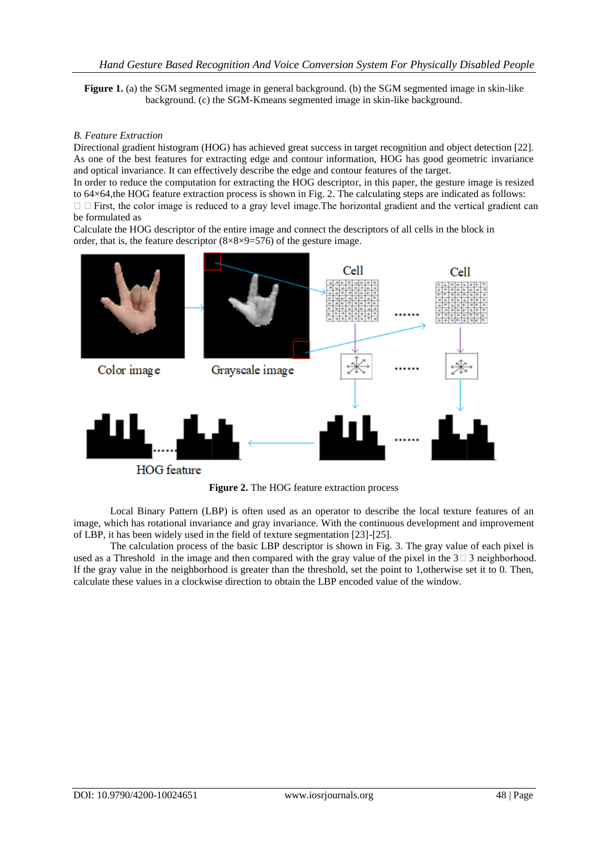**Figure 1.** (a) the SGM segmented image in general background. (b) the SGM segmented image in skin-like background. (c) the SGM-Kmeans segmented image in skin-like background.

#### *B. Feature Extraction*

Directional gradient histogram (HOG) has achieved great success in target recognition and object detection [22]. As one of the best features for extracting edge and contour information, HOG has good geometric invariance and optical invariance. It can effectively describe the edge and contour features of the target.

In order to reduce the computation for extracting the HOG descriptor, in this paper, the gesture image is resized to 64×64,the HOG feature extraction process is shown in Fig. 2. The calculating steps are indicated as follows:  $\Box$   $\Box$  First, the color image is reduced to a gray level image. The horizontal gradient and the vertical gradient can be formulated as

Calculate the HOG descriptor of the entire image and connect the descriptors of all cells in the block in order, that is, the feature descriptor  $(8\times8\times9=576)$  of the gesture image.



**HOG** feature

**Figure 2.** The HOG feature extraction process

Local Binary Pattern (LBP) is often used as an operator to describe the local texture features of an image, which has rotational invariance and gray invariance. With the continuous development and improvement of LBP, it has been widely used in the field of texture segmentation [23]-[25].

The calculation process of the basic LBP descriptor is shown in Fig. 3. The gray value of each pixel is used as a Threshold in the image and then compared with the gray value of the pixel in the  $3 \square 3$  neighborhood. If the gray value in the neighborhood is greater than the threshold, set the point to 1,otherwise set it to 0. Then, calculate these values in a clockwise direction to obtain the LBP encoded value of the window.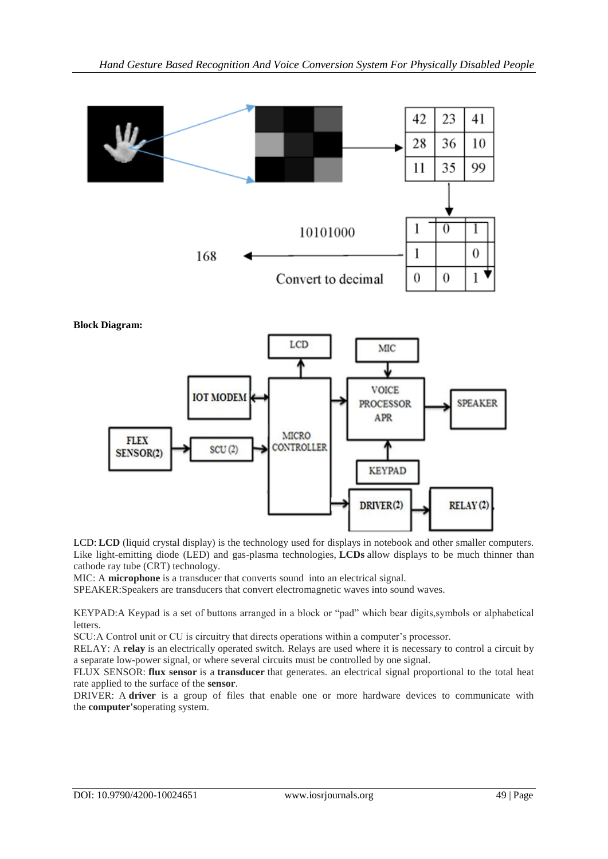

LCD: LCD (liquid crystal display) is the technology used for displays in notebook and other smaller computers. Like light-emitting diode (LED) and gas-plasma technologies, **LCDs** allow displays to be much thinner than cathode ray tube (CRT) technology.

MIC: A **microphone** is a transducer that converts sound into an electrical signal.

SPEAKER:Speakers are transducers that convert electromagnetic waves into sound waves.

KEYPAD:A Keypad is a set of buttons arranged in a block or "pad" which bear digits,symbols or alphabetical letters.

SCU:A Control unit or CU is circuitry that directs operations within a computer's processor.

RELAY: A **relay** is an electrically operated switch. Relays are used where it is necessary to control a circuit by a separate low-power signal, or where several circuits must be controlled by one signal.

FLUX SENSOR: **flux sensor** is a **transducer** that generates. an electrical signal proportional to the total heat rate applied to the surface of the **sensor**.

DRIVER: A **driver** is a group of files that enable one or more hardware devices to communicate with the **computer's**operating system.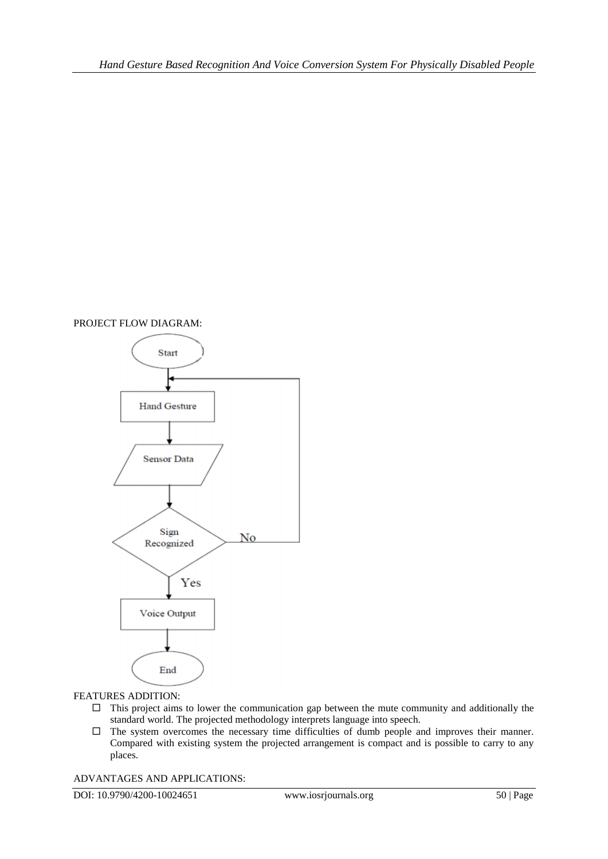# PROJECT FLOW DIAGRAM:



#### FEATURES ADDITION:

- $\Box$  This project aims to lower the communication gap between the mute community and additionally the standard world. The projected methodology interprets language into speech.
- $\Box$  The system overcomes the necessary time difficulties of dumb people and improves their manner. Compared with existing system the projected arrangement is compact and is possible to carry to any places.

ADVANTAGES AND APPLICATIONS:

DOI: 10.9790/4200-10024651 www.iosrjournals.org 50 | Page